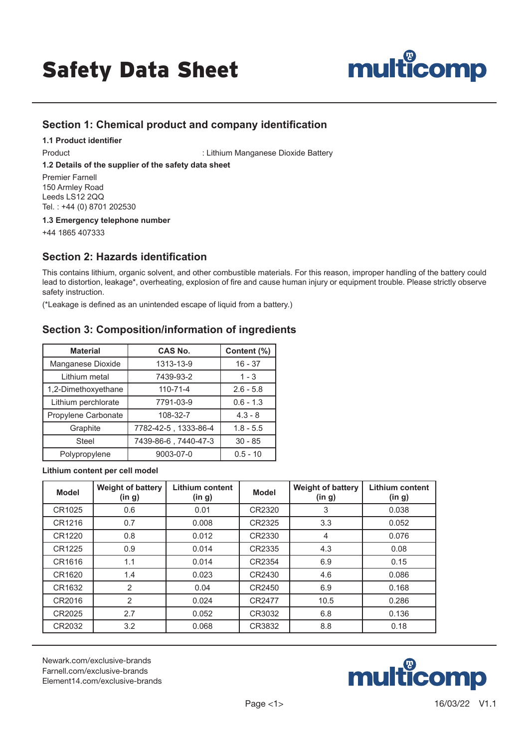# Safety Data Sheet



# **Section 1: Chemical product and company identification**

**1.1 Product identifier**

Product **Internal Community** : Lithium Manganese Dioxide Battery

#### **1.2 Details of the supplier of the safety data sheet**

Premier Farnell 150 Armley Road Leeds LS12 2QQ Tel. : +44 (0) 8701 202530

**1.3 Emergency telephone number**

+44 1865 407333

## **Section 2: Hazards identification**

This contains lithium, organic solvent, and other combustible materials. For this reason, improper handling of the battery could lead to distortion, leakage\*, overheating, explosion of fire and cause human injury or equipment trouble. Please strictly observe safety instruction.

(\*Leakage is defined as an unintended escape of liquid from a battery.)

## **Section 3: Composition/information of ingredients**

| <b>Material</b>     | <b>CAS No.</b>       | Content (%) |
|---------------------|----------------------|-------------|
| Manganese Dioxide   | 1313-13-9            | $16 - 37$   |
| Lithium metal       | 7439-93-2            | $1 - 3$     |
| 1,2-Dimethoxyethane | $110 - 71 - 4$       | $2.6 - 5.8$ |
| Lithium perchlorate | 7791-03-9            | $0.6 - 1.3$ |
| Propylene Carbonate | 108-32-7             | $4.3 - 8$   |
| Graphite            | 7782-42-5, 1333-86-4 | $1.8 - 5.5$ |
| Steel               | 7439-86-6, 7440-47-3 | $30 - 85$   |
| Polypropylene       | 9003-07-0            | $0.5 - 10$  |

**Lithium content per cell model**

| <b>Model</b> | <b>Weight of battery</b><br>(in g) | <b>Lithium content</b><br>(in g) | <b>Model</b> | <b>Weight of battery</b><br>(in g) | <b>Lithium content</b><br>(in g) |
|--------------|------------------------------------|----------------------------------|--------------|------------------------------------|----------------------------------|
| CR1025       | 0.6                                | 0.01                             | CR2320       | 3                                  | 0.038                            |
| CR1216       | 0.7                                | 0.008                            | CR2325       | 3.3                                | 0.052                            |
| CR1220       | 0.8                                | 0.012                            | CR2330       | 4                                  | 0.076                            |
| CR1225       | 0.9                                | 0.014                            | CR2335       | 4.3                                | 0.08                             |
| CR1616       | 1.1                                | 0.014                            | CR2354       | 6.9                                | 0.15                             |
| CR1620       | 1.4                                | 0.023                            | CR2430       | 4.6                                | 0.086                            |
| CR1632       | $\overline{2}$                     | 0.04                             | CR2450       | 6.9                                | 0.168                            |
| CR2016       | $\overline{2}$                     | 0.024                            | CR2477       | 10.5                               | 0.286                            |
| CR2025       | 2.7                                | 0.052                            | CR3032       | 6.8                                | 0.136                            |
| CR2032       | 3.2                                | 0.068                            | CR3832       | 8.8                                | 0.18                             |

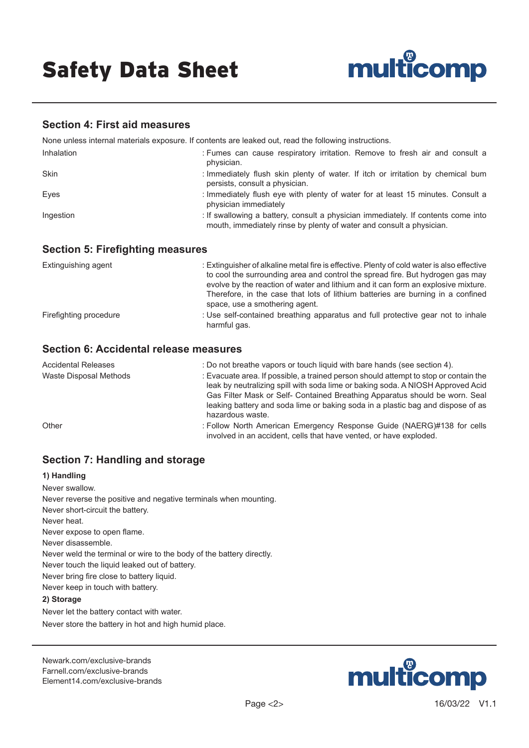

### **Section 4: First aid measures**

None unless internal materials exposure. If contents are leaked out, read the following instructions.

| Inhalation | : Fumes can cause respiratory irritation. Remove to fresh air and consult a<br>physician.                                                                 |
|------------|-----------------------------------------------------------------------------------------------------------------------------------------------------------|
| Skin       | : Immediately flush skin plenty of water. If itch or irritation by chemical bum<br>persists, consult a physician.                                         |
| Eyes       | : Immediately flush eye with plenty of water for at least 15 minutes. Consult a<br>physician immediately                                                  |
| Ingestion  | : If swallowing a battery, consult a physician immediately. If contents come into<br>mouth, immediately rinse by plenty of water and consult a physician. |

#### **Section 5: Firefighting measures**

| Extinguishing agent    | : Extinguisher of alkaline metal fire is effective. Plenty of cold water is also effective<br>to cool the surrounding area and control the spread fire. But hydrogen gas may<br>evolve by the reaction of water and lithium and it can form an explosive mixture.<br>Therefore, in the case that lots of lithium batteries are burning in a confined<br>space, use a smothering agent. |
|------------------------|----------------------------------------------------------------------------------------------------------------------------------------------------------------------------------------------------------------------------------------------------------------------------------------------------------------------------------------------------------------------------------------|
| Firefighting procedure | : Use self-contained breathing apparatus and full protective gear not to inhale<br>harmful gas.                                                                                                                                                                                                                                                                                        |

## **Section 6: Accidental release measures**

| Accidental Releases    | : Do not breathe vapors or touch liquid with bare hands (see section 4).                                                                                                                                                                                                                                                                                      |
|------------------------|---------------------------------------------------------------------------------------------------------------------------------------------------------------------------------------------------------------------------------------------------------------------------------------------------------------------------------------------------------------|
| Waste Disposal Methods | : Evacuate area. If possible, a trained person should attempt to stop or contain the<br>leak by neutralizing spill with soda lime or baking soda. A NIOSH Approved Acid<br>Gas Filter Mask or Self- Contained Breathing Apparatus should be worn. Seal<br>leaking battery and soda lime or baking soda in a plastic bag and dispose of as<br>hazardous waste. |
| Other                  | : Follow North American Emergency Response Guide (NAERG)#138 for cells<br>involved in an accident, cells that have vented, or have exploded.                                                                                                                                                                                                                  |

# **Section 7: Handling and storage**

#### **1) Handling**

Never swallow. Never reverse the positive and negative terminals when mounting. Never short-circuit the battery. Never heat. Never expose to open flame. Never disassemble. Never weld the terminal or wire to the body of the battery directly. Never touch the liquid leaked out of battery. Never bring fire close to battery liquid. Never keep in touch with battery. **2) Storage** Never let the battery contact with water.

Never store the battery in hot and high humid place.

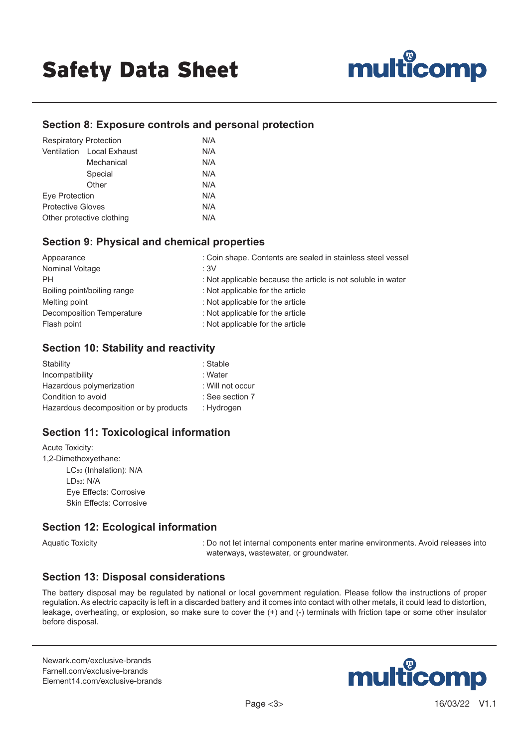

### **Section 8: Exposure controls and personal protection**

| <b>Respiratory Protection</b> |                           | N/A |
|-------------------------------|---------------------------|-----|
|                               | Ventilation Local Exhaust | N/A |
|                               | Mechanical                | N/A |
|                               | Special                   | N/A |
|                               | Other                     | N/A |
| Eye Protection                |                           | N/A |
| <b>Protective Gloves</b>      |                           | N/A |
| Other protective clothing     |                           | N/A |

### **Section 9: Physical and chemical properties**

| Appearance                  | : Coin shape. Contents are sealed in stainless steel vessel  |
|-----------------------------|--------------------------------------------------------------|
| Nominal Voltage             | :3V                                                          |
| <b>PH</b>                   | : Not applicable because the article is not soluble in water |
| Boiling point/boiling range | : Not applicable for the article                             |
| Melting point               | : Not applicable for the article                             |
| Decomposition Temperature   | : Not applicable for the article                             |
| Flash point                 | : Not applicable for the article                             |

### **Section 10: Stability and reactivity**

| Stability                              | : Stable         |
|----------------------------------------|------------------|
| Incompatibility                        | : Water          |
| Hazardous polymerization               | : Will not occur |
| Condition to avoid                     | : See section 7  |
| Hazardous decomposition or by products | : Hydrogen       |

## **Section 11: Toxicological information**

Acute Toxicity: 1,2-Dimethoxyethane: LC50 (Inhalation): N/A LD50: N/A Eye Effects: Corrosive Skin Effects: Corrosive

#### **Section 12: Ecological information**

Aquatic Toxicity **internal components enter marine environments.** Avoid releases into waterways, wastewater, or groundwater.

#### **Section 13: Disposal considerations**

The battery disposal may be regulated by national or local government regulation. Please follow the instructions of proper regulation. As electric capacity is left in a discarded battery and it comes into contact with other metals, it could lead to distortion, leakage, overheating, or explosion, so make sure to cover the (+) and (-) terminals with friction tape or some other insulator before disposal.

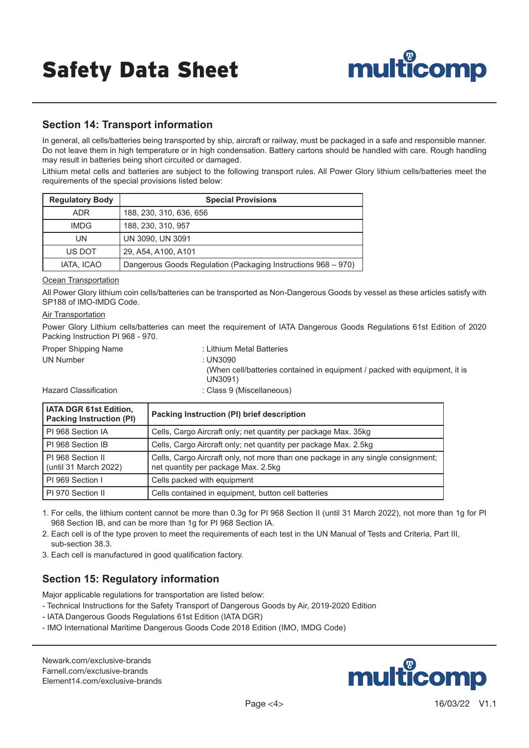

## **Section 14: Transport information**

In general, all cells/batteries being transported by ship, aircraft or railway, must be packaged in a safe and responsible manner. Do not leave them in high temperature or in high condensation. Battery cartons should be handled with care. Rough handling may result in batteries being short circuited or damaged.

Lithium metal cells and batteries are subject to the following transport rules. All Power Glory lithium cells/batteries meet the requirements of the special provisions listed below:

| <b>Regulatory Body</b> | <b>Special Provisions</b>                                     |
|------------------------|---------------------------------------------------------------|
| <b>ADR</b>             | 188, 230, 310, 636, 656                                       |
| <b>IMDG</b>            | 188, 230, 310, 957                                            |
| UN                     | UN 3090, UN 3091                                              |
| US DOT                 | 29, A54, A100, A101                                           |
| IATA, ICAO             | Dangerous Goods Regulation (Packaging Instructions 968 - 970) |

#### **Ocean Transportation**

All Power Glory lithium coin cells/batteries can be transported as Non-Dangerous Goods by vessel as these articles satisfy with SP188 of IMO-IMDG Code.

#### **Air Transportation**

Power Glory Lithium cells/batteries can meet the requirement of IATA Dangerous Goods Regulations 61st Edition of 2020 Packing Instruction PI 968 - 970.

- 
- UN Number : UN3090
- Proper Shipping Name : Lithium Metal Batteries (When cell/batteries contained in equipment / packed with equipment, it is UN3091)

Hazard Classification **in the Class 9 (Miscellaneous)** 

| IATA DGR 61st Edition,<br><b>Packing Instruction (PI)</b> | Packing Instruction (PI) brief description                                                                              |
|-----------------------------------------------------------|-------------------------------------------------------------------------------------------------------------------------|
| PI 968 Section IA                                         | Cells, Cargo Aircraft only; net quantity per package Max. 35kg                                                          |
| PI 968 Section IB                                         | Cells, Cargo Aircraft only; net quantity per package Max. 2.5kg                                                         |
| PI 968 Section II<br>(until 31 March 2022)                | Cells, Cargo Aircraft only, not more than one package in any single consignment;<br>net quantity per package Max. 2.5kg |
| PI 969 Section I                                          | Cells packed with equipment                                                                                             |
| PI 970 Section II                                         | Cells contained in equipment, button cell batteries                                                                     |

1. For cells, the lithium content cannot be more than 0.3g for PI 968 Section II (until 31 March 2022), not more than 1g for PI 968 Section IB, and can be more than 1g for PI 968 Section IA.

- 2. Each cell is of the type proven to meet the requirements of each test in the UN Manual of Tests and Criteria, Part III, sub-section 38.3.
- 3. Each cell is manufactured in good qualification factory.

# **Section 15: Regulatory information**

Major applicable regulations for transportation are listed below:

- Technical Instructions for the Safety Transport of Dangerous Goods by Air, 2019-2020 Edition
- IATA Dangerous Goods Regulations 61st Edition (IATA DGR)
- IMO International Maritime Dangerous Goods Code 2018 Edition (IMO, IMDG Code)